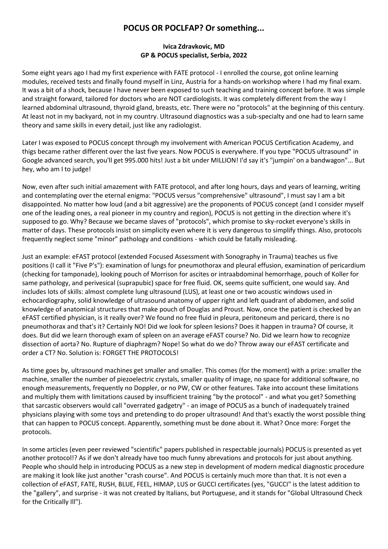## **POCUS OR POCLFAP? Or something...**

## **Ivica Zdravkovic, MD GP & POCUS specialist, Serbia, 2022**

Some eight years ago I had my first experience with FATE protocol - I enrolled the course, got online learning modules, received tests and finally found myself in Linz, Austria for a hands-on workshop where I had my final exam. It was a bit of a shock, because I have never been exposed to such teaching and training concept before. It was simple and straight forward, tailored for doctors who are NOT cardiologists. It was completely different from the way I learned abdominal ultrasound, thyroid gland, breasts, etc. There were no "protocols" at the beginning of this century. At least not in my backyard, not in my country. Ultrasound diagnostics was a sub-specialty and one had to learn same theory and same skills in every detail, just like any radiologist.

Later I was exposed to POCUS concept through my involvement with American POCUS Certification Academy, and thigs became rather different over the last five years. Now POCUS is everywhere. If you type "POCUS ultrasound" in Google advanced search, you'll get 995.000 hits! Just a bit under MILLION! I'd say it's "jumpin' on a bandwagon"... But hey, who am I to judge!

Now, even after such initial amazement with FATE protocol, and after long hours, days and years of learning, writing and contemplating over the eternal enigma: "POCUS versus "comprehensive" ultrasound", I must say I am a bit disappointed. No matter how loud (and a bit aggressive) are the proponents of POCUS concept (and I consider myself one of the leading ones, a real pioneer in my country and region), POCUS is not getting in the direction where it's supposed to go. Why? Because we became slaves of "protocols", which promise to sky-rocket everyone's skills in matter of days. These protocols insist on simplicity even where it is very dangerous to simplify things. Also, protocols frequently neglect some "minor" pathology and conditions - which could be fatally misleading.

Just an example: eFAST protocol (extended Focused Assessment with Sonography in Trauma) teaches us five positions (I call it "Five P's"): examination of lungs for pneumothorax and pleural effusion, examination of pericardium (checking for tamponade), looking pouch of Morrison for ascites or intraabdominal hemorrhage, pouch of Koller for same pathology, and perivesical (suprapubic) space for free fluid. OK, seems quite sufficient, one would say. And includes lots of skills: almost complete lung ultrasound (LUS), at least one or two acoustic windows used in echocardiography, solid knowledge of ultrasound anatomy of upper right and left quadrant of abdomen, and solid knowledge of anatomical structures that make pouch of Douglas and Proust. Now, once the patient is checked by an eFAST certified physician, is it really over? We found no free fluid in pleura, peritoneum and pericard, there is no pneumothorax and that's it? Certainly NO! Did we look for spleen lesions? Does it happen in trauma? Of course, it does. But did we learn thorough exam of spleen on an average eFAST course? No. Did we learn how to recognize dissection of aorta? No. Rupture of diaphragm? Nope! So what do we do? Throw away our eFAST certificate and order a CT? No. Solution is: FORGET THE PROTOCOLS!

As time goes by, ultrasound machines get smaller and smaller. This comes (for the moment) with a prize: smaller the machine, smaller the number of piezoelectric crystals, smaller quality of image, no space for additional software, no enough measurements, frequently no Doppler, or no PW, CW or other features. Take into account these limitations and multiply them with limitations caused by insufficient training "by the protocol" - and what you get? Something that sarcastic observers would call "overrated gadgetry" - an image of POCUS as a bunch of inadequately trained physicians playing with some toys and pretending to do proper ultrasound! And that's exactly the worst possible thing that can happen to POCUS concept. Apparently, something must be done about it. What? Once more: Forget the protocols.

In some articles (even peer reviewed "scientific" papers published in respectable journals) POCUS is presented as yet another protocol!? As if we don't already have too much funny abrevations and protocols for just about anything. People who should help in introducing POCUS as a new step in development of modern medical diagnostic procedure are making it look like just another "crash course". And POCUS is certainly much more than that. It is not even a collection of eFAST, FATE, RUSH, BLUE, FEEL, HIMAP, LUS or GUCCI certificates (yes, "GUCCI" is the latest addition to the "gallery", and surprise - it was not created by Italians, but Portuguese, and it stands for "Global Ultrasound Check for the Critically Ill").